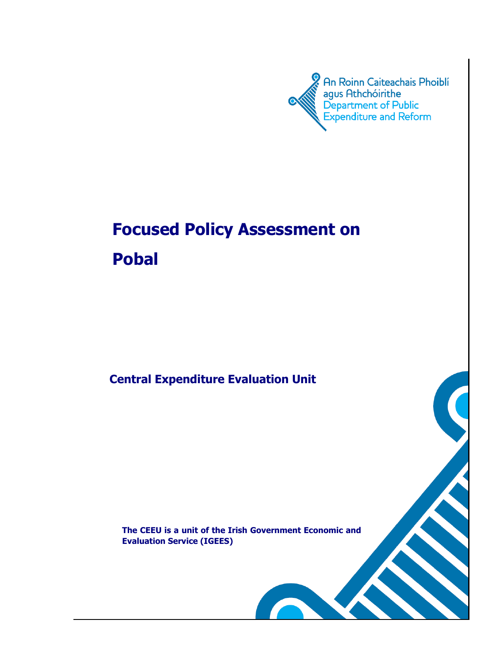

 $\mathbf{r}_2$ 

# **Focused Policy Assessment on Pobal**

**Central Expenditure Evaluation Unit**

**The CEEU is a unit of the Irish Government Economic and Evaluation Service (IGEES)**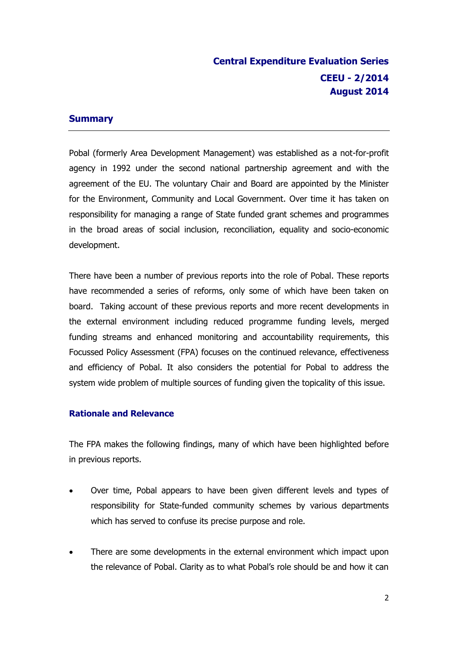# **Central Expenditure Evaluation Series CEEU - 2/2014 August 2014**

#### **Summary**

Pobal (formerly Area Development Management) was established as a not-for-profit agency in 1992 under the second national partnership agreement and with the agreement of the EU. The voluntary Chair and Board are appointed by the Minister for the Environment, Community and Local Government. Over time it has taken on responsibility for managing a range of State funded grant schemes and programmes in the broad areas of social inclusion, reconciliation, equality and socio-economic development.

There have been a number of previous reports into the role of Pobal. These reports have recommended a series of reforms, only some of which have been taken on board. Taking account of these previous reports and more recent developments in the external environment including reduced programme funding levels, merged funding streams and enhanced monitoring and accountability requirements, this Focussed Policy Assessment (FPA) focuses on the continued relevance, effectiveness and efficiency of Pobal. It also considers the potential for Pobal to address the system wide problem of multiple sources of funding given the topicality of this issue.

### **Rationale and Relevance**

The FPA makes the following findings, many of which have been highlighted before in previous reports.

- Over time, Pobal appears to have been given different levels and types of responsibility for State-funded community schemes by various departments which has served to confuse its precise purpose and role.
- There are some developments in the external environment which impact upon the relevance of Pobal. Clarity as to what Pobal's role should be and how it can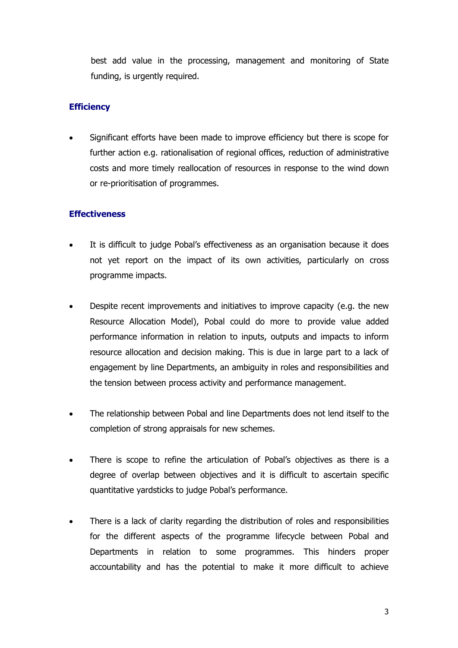best add value in the processing, management and monitoring of State funding, is urgently required.

### **Efficiency**

 Significant efforts have been made to improve efficiency but there is scope for further action e.g. rationalisation of regional offices, reduction of administrative costs and more timely reallocation of resources in response to the wind down or re-prioritisation of programmes.

### **Effectiveness**

- It is difficult to judge Pobal's effectiveness as an organisation because it does not yet report on the impact of its own activities, particularly on cross programme impacts.
- Despite recent improvements and initiatives to improve capacity (e.g. the new Resource Allocation Model), Pobal could do more to provide value added performance information in relation to inputs, outputs and impacts to inform resource allocation and decision making. This is due in large part to a lack of engagement by line Departments, an ambiguity in roles and responsibilities and the tension between process activity and performance management.
- The relationship between Pobal and line Departments does not lend itself to the completion of strong appraisals for new schemes.
- There is scope to refine the articulation of Pobal's objectives as there is a degree of overlap between objectives and it is difficult to ascertain specific quantitative yardsticks to judge Pobal's performance.
- There is a lack of clarity regarding the distribution of roles and responsibilities for the different aspects of the programme lifecycle between Pobal and Departments in relation to some programmes. This hinders proper accountability and has the potential to make it more difficult to achieve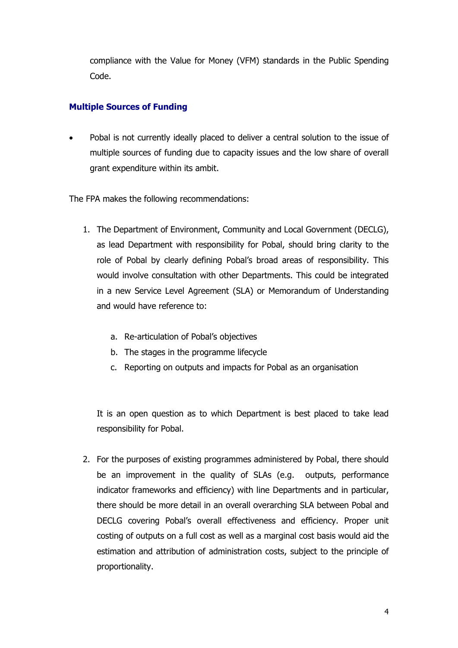compliance with the Value for Money (VFM) standards in the Public Spending Code.

### **Multiple Sources of Funding**

 Pobal is not currently ideally placed to deliver a central solution to the issue of multiple sources of funding due to capacity issues and the low share of overall grant expenditure within its ambit.

The FPA makes the following recommendations:

- 1. The Department of Environment, Community and Local Government (DECLG), as lead Department with responsibility for Pobal, should bring clarity to the role of Pobal by clearly defining Pobal's broad areas of responsibility. This would involve consultation with other Departments. This could be integrated in a new Service Level Agreement (SLA) or Memorandum of Understanding and would have reference to:
	- a. Re-articulation of Pobal's objectives
	- b. The stages in the programme lifecycle
	- c. Reporting on outputs and impacts for Pobal as an organisation

It is an open question as to which Department is best placed to take lead responsibility for Pobal.

2. For the purposes of existing programmes administered by Pobal, there should be an improvement in the quality of SLAs (e.g. outputs, performance indicator frameworks and efficiency) with line Departments and in particular, there should be more detail in an overall overarching SLA between Pobal and DECLG covering Pobal's overall effectiveness and efficiency. Proper unit costing of outputs on a full cost as well as a marginal cost basis would aid the estimation and attribution of administration costs, subject to the principle of proportionality.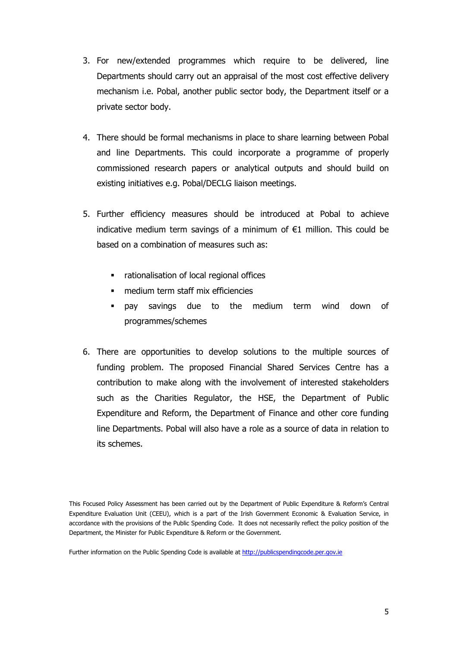- 3. For new/extended programmes which require to be delivered, line Departments should carry out an appraisal of the most cost effective delivery mechanism i.e. Pobal, another public sector body, the Department itself or a private sector body.
- 4. There should be formal mechanisms in place to share learning between Pobal and line Departments. This could incorporate a programme of properly commissioned research papers or analytical outputs and should build on existing initiatives e.g. Pobal/DECLG liaison meetings.
- 5. Further efficiency measures should be introduced at Pobal to achieve indicative medium term savings of a minimum of  $E1$  million. This could be based on a combination of measures such as:
	- rationalisation of local regional offices
	- medium term staff mix efficiencies
	- pay savings due to the medium term wind down of programmes/schemes
- 6. There are opportunities to develop solutions to the multiple sources of funding problem. The proposed Financial Shared Services Centre has a contribution to make along with the involvement of interested stakeholders such as the Charities Regulator, the HSE, the Department of Public Expenditure and Reform, the Department of Finance and other core funding line Departments. Pobal will also have a role as a source of data in relation to its schemes.

This Focused Policy Assessment has been carried out by the Department of Public Expenditure & Reform's Central Expenditure Evaluation Unit (CEEU), which is a part of the Irish Government Economic & Evaluation Service, in accordance with the provisions of the Public Spending Code. It does not necessarily reflect the policy position of the Department, the Minister for Public Expenditure & Reform or the Government.

Further information on the Public Spending Code is available at [http://publicspendingcode.per.gov.ie](http://publicspendingcode.per.gov.ie/)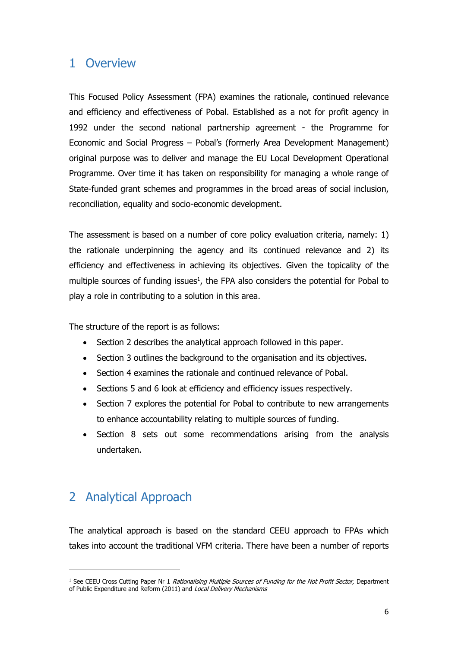# 1 Overview

This Focused Policy Assessment (FPA) examines the rationale, continued relevance and efficiency and effectiveness of Pobal. Established as a not for profit agency in 1992 under the second national partnership agreement - the Programme for Economic and Social Progress – Pobal's (formerly Area Development Management) original purpose was to deliver and manage the EU Local Development Operational Programme. Over time it has taken on responsibility for managing a whole range of State-funded grant schemes and programmes in the broad areas of social inclusion, reconciliation, equality and socio-economic development.

The assessment is based on a number of core policy evaluation criteria, namely: 1) the rationale underpinning the agency and its continued relevance and 2) its efficiency and effectiveness in achieving its objectives. Given the topicality of the multiple sources of funding issues<sup>1</sup>, the FPA also considers the potential for Pobal to play a role in contributing to a solution in this area.

The structure of the report is as follows:

- Section 2 describes the analytical approach followed in this paper.
- Section 3 outlines the background to the organisation and its objectives.
- Section 4 examines the rationale and continued relevance of Pobal.
- Sections 5 and 6 look at efficiency and efficiency issues respectively.
- Section 7 explores the potential for Pobal to contribute to new arrangements to enhance accountability relating to multiple sources of funding.
- Section 8 sets out some recommendations arising from the analysis undertaken.

# 2 Analytical Approach

-

The analytical approach is based on the standard CEEU approach to FPAs which takes into account the traditional VFM criteria. There have been a number of reports

<sup>&</sup>lt;sup>1</sup> See CEEU Cross Cutting Paper Nr 1 Rationalising Multiple Sources of Funding for the Not Profit Sector, Department of Public Expenditure and Reform (2011) and Local Delivery Mechanisms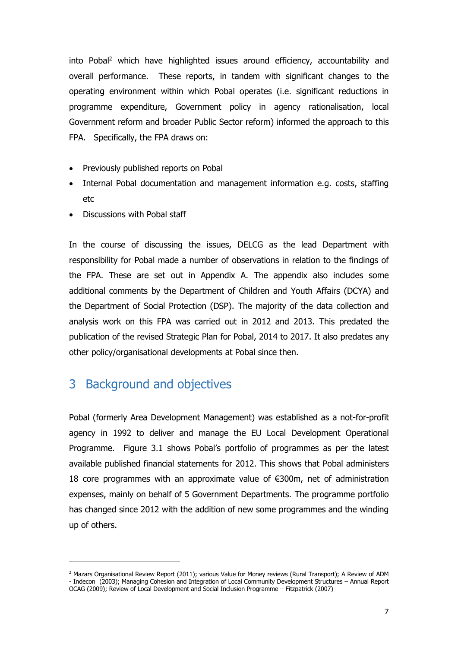into Pobal<sup>2</sup> which have highlighted issues around efficiency, accountability and overall performance. These reports, in tandem with significant changes to the operating environment within which Pobal operates (i.e. significant reductions in programme expenditure, Government policy in agency rationalisation, local Government reform and broader Public Sector reform) informed the approach to this FPA. Specifically, the FPA draws on:

- Previously published reports on Pobal
- Internal Pobal documentation and management information e.g. costs, staffing etc
- Discussions with Pobal staff

In the course of discussing the issues, DELCG as the lead Department with responsibility for Pobal made a number of observations in relation to the findings of the FPA. These are set out in Appendix A. The appendix also includes some additional comments by the Department of Children and Youth Affairs (DCYA) and the Department of Social Protection (DSP). The majority of the data collection and analysis work on this FPA was carried out in 2012 and 2013. This predated the publication of the revised Strategic Plan for Pobal, 2014 to 2017. It also predates any other policy/organisational developments at Pobal since then.

# 3 Background and objectives

Pobal (formerly Area Development Management) was established as a not-for-profit agency in 1992 to deliver and manage the EU Local Development Operational Programme. Figure 3.1 shows Pobal's portfolio of programmes as per the latest available published financial statements for 2012. This shows that Pobal administers 18 core programmes with an approximate value of €300m, net of administration expenses, mainly on behalf of 5 Government Departments. The programme portfolio has changed since 2012 with the addition of new some programmes and the winding up of others.

<sup>&</sup>lt;sup>2</sup> Mazars Organisational Review Report (2011); various Value for Money reviews (Rural Transport); A Review of ADM - Indecon (2003); Managing Cohesion and Integration of Local Community Development Structures – Annual Report OCAG (2009); Review of Local Development and Social Inclusion Programme – Fitzpatrick (2007)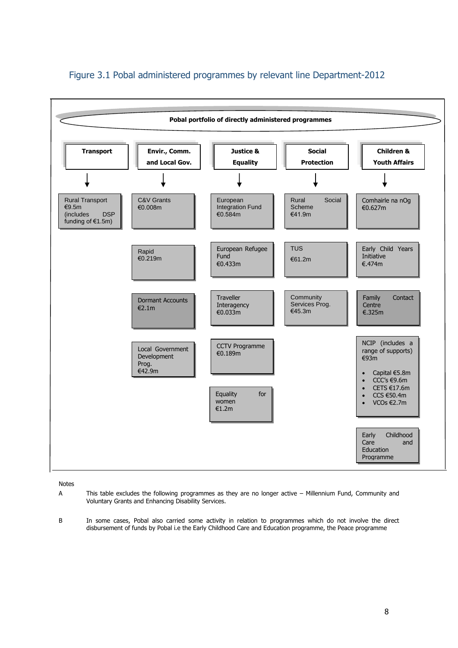

### Figure 3.1 Pobal administered programmes by relevant line Department-2012

#### Notes

- A This table excludes the following programmes as they are no longer active Millennium Fund, Community and Voluntary Grants and Enhancing Disability Services.
- B In some cases, Pobal also carried some activity in relation to programmes which do not involve the direct disbursement of funds by Pobal i.e the Early Childhood Care and Education programme, the Peace programme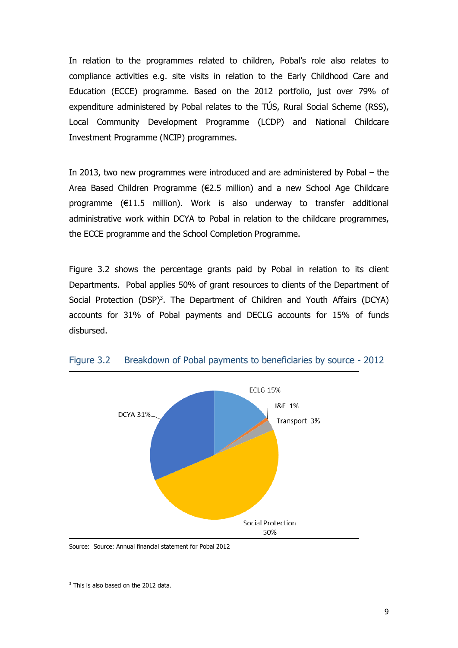In relation to the programmes related to children, Pobal's role also relates to compliance activities e.g. site visits in relation to the Early Childhood Care and Education (ECCE) programme. Based on the 2012 portfolio, just over 79% of expenditure administered by Pobal relates to the TÚS, Rural Social Scheme (RSS), Local Community Development Programme (LCDP) and National Childcare Investment Programme (NCIP) programmes.

In 2013, two new programmes were introduced and are administered by Pobal – the Area Based Children Programme (€2.5 million) and a new School Age Childcare programme (€11.5 million). Work is also underway to transfer additional administrative work within DCYA to Pobal in relation to the childcare programmes, the ECCE programme and the School Completion Programme.

Figure 3.2 shows the percentage grants paid by Pobal in relation to its client Departments. Pobal applies 50% of grant resources to clients of the Department of Social Protection (DSP)<sup>3</sup>. The Department of Children and Youth Affairs (DCYA) accounts for 31% of Pobal payments and DECLG accounts for 15% of funds disbursed.



Figure 3.2 Breakdown of Pobal payments to beneficiaries by source - 2012

Source: Source: Annual financial statement for Pobal 2012

<sup>&</sup>lt;sup>3</sup> This is also based on the 2012 data.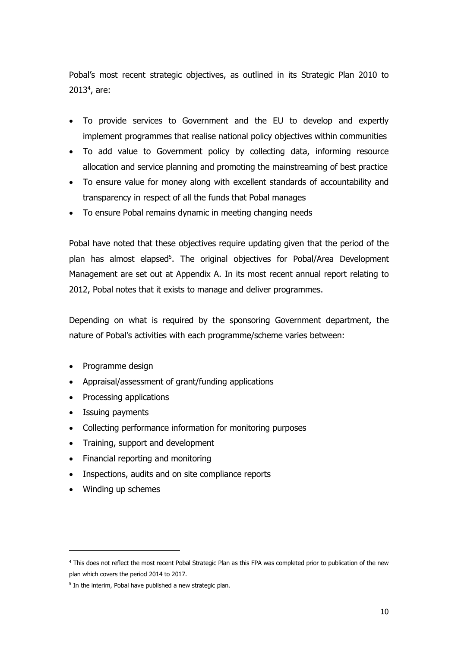Pobal's most recent strategic objectives, as outlined in its Strategic Plan 2010 to  $2013<sup>4</sup>$ , are:

- To provide services to Government and the EU to develop and expertly implement programmes that realise national policy objectives within communities
- To add value to Government policy by collecting data, informing resource allocation and service planning and promoting the mainstreaming of best practice
- To ensure value for money along with excellent standards of accountability and transparency in respect of all the funds that Pobal manages
- To ensure Pobal remains dynamic in meeting changing needs

Pobal have noted that these objectives require updating given that the period of the plan has almost elapsed<sup>5</sup>. The original objectives for Pobal/Area Development Management are set out at Appendix A. In its most recent annual report relating to 2012, Pobal notes that it exists to manage and deliver programmes.

Depending on what is required by the sponsoring Government department, the nature of Pobal's activities with each programme/scheme varies between:

- Programme design
- Appraisal/assessment of grant/funding applications
- Processing applications
- Issuing payments
- Collecting performance information for monitoring purposes
- Training, support and development
- Financial reporting and monitoring
- Inspections, audits and on site compliance reports
- Winding up schemes

<sup>4</sup> This does not reflect the most recent Pobal Strategic Plan as this FPA was completed prior to publication of the new plan which covers the period 2014 to 2017.

<sup>&</sup>lt;sup>5</sup> In the interim, Pobal have published a new strategic plan.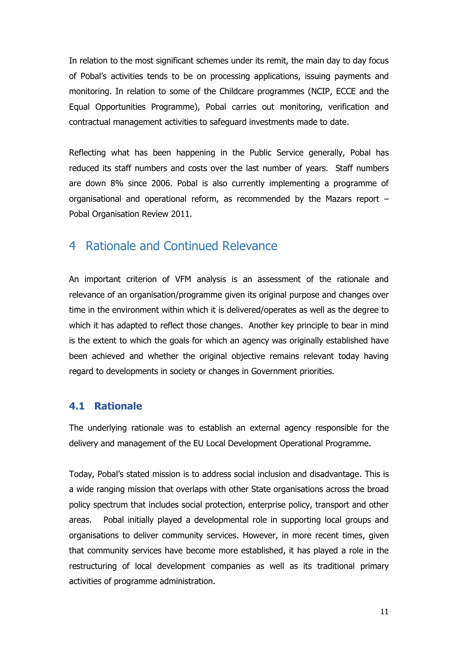In relation to the most significant schemes under its remit, the main day to day focus of Pobal's activities tends to be on processing applications, issuing payments and monitoring. In relation to some of the Childcare programmes (NCIP, ECCE and the Equal Opportunities Programme), Pobal carries out monitoring, verification and contractual management activities to safeguard investments made to date.

Reflecting what has been happening in the Public Service generally, Pobal has reduced its staff numbers and costs over the last number of years. Staff numbers are down 8% since 2006. Pobal is also currently implementing a programme of organisational and operational reform, as recommended by the Mazars report – Pobal Organisation Review 2011.

# 4 Rationale and Continued Relevance

An important criterion of VFM analysis is an assessment of the rationale and relevance of an organisation/programme given its original purpose and changes over time in the environment within which it is delivered/operates as well as the degree to which it has adapted to reflect those changes. Another key principle to bear in mind is the extent to which the goals for which an agency was originally established have been achieved and whether the original objective remains relevant today having regard to developments in society or changes in Government priorities.

### **4.1 Rationale**

The underlying rationale was to establish an external agency responsible for the delivery and management of the EU Local Development Operational Programme.

Today, Pobal's stated mission is to address social inclusion and disadvantage. This is a wide ranging mission that overlaps with other State organisations across the broad policy spectrum that includes social protection, enterprise policy, transport and other areas. Pobal initially played a developmental role in supporting local groups and organisations to deliver community services. However, in more recent times, given that community services have become more established, it has played a role in the restructuring of local development companies as well as its traditional primary activities of programme administration.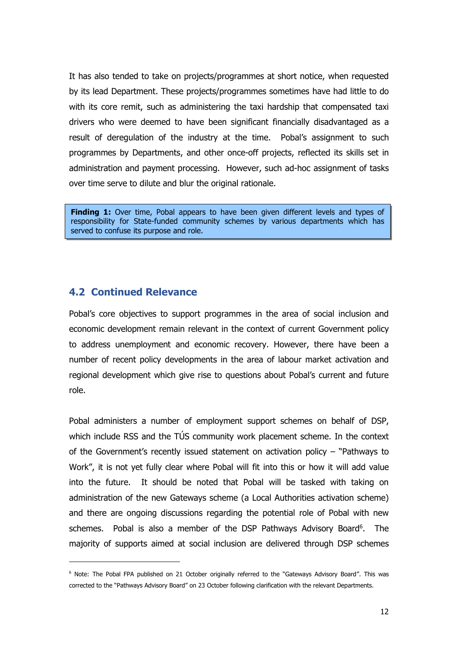It has also tended to take on projects/programmes at short notice, when requested by its lead Department. These projects/programmes sometimes have had little to do with its core remit, such as administering the taxi hardship that compensated taxi drivers who were deemed to have been significant financially disadvantaged as a result of deregulation of the industry at the time. Pobal's assignment to such programmes by Departments, and other once-off projects, reflected its skills set in administration and payment processing. However, such ad-hoc assignment of tasks over time serve to dilute and blur the original rationale.

**Finding 1:** Over time, Pobal appears to have been given different levels and types of responsibility for State-funded community schemes by various departments which has served to confuse its purpose and role.

### **4.2 Continued Relevance**

Pobal's core objectives to support programmes in the area of social inclusion and economic development remain relevant in the context of current Government policy to address unemployment and economic recovery. However, there have been a number of recent policy developments in the area of labour market activation and regional development which give rise to questions about Pobal's current and future role.

Pobal administers a number of employment support schemes on behalf of DSP, which include RSS and the TÚS community work placement scheme. In the context of the Government's recently issued statement on activation policy – "Pathways to Work", it is not yet fully clear where Pobal will fit into this or how it will add value into the future. It should be noted that Pobal will be tasked with taking on administration of the new Gateways scheme (a Local Authorities activation scheme) and there are ongoing discussions regarding the potential role of Pobal with new schemes. Pobal is also a member of the DSP Pathways Advisory Board<sup>6</sup>. The majority of supports aimed at social inclusion are delivered through DSP schemes

<sup>6</sup> Note: The Pobal FPA published on 21 October originally referred to the "Gateways Advisory Board". This was corrected to the "Pathways Advisory Board" on 23 October following clarification with the relevant Departments.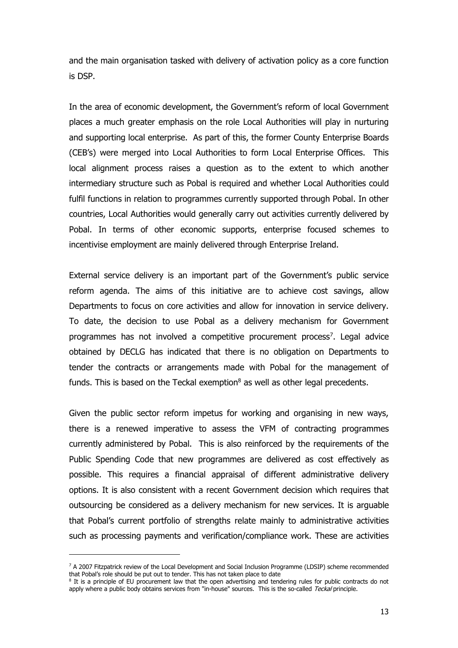and the main organisation tasked with delivery of activation policy as a core function is DSP.

In the area of economic development, the Government's reform of local Government places a much greater emphasis on the role Local Authorities will play in nurturing and supporting local enterprise. As part of this, the former County Enterprise Boards (CEB's) were merged into Local Authorities to form Local Enterprise Offices. This local alignment process raises a question as to the extent to which another intermediary structure such as Pobal is required and whether Local Authorities could fulfil functions in relation to programmes currently supported through Pobal. In other countries, Local Authorities would generally carry out activities currently delivered by Pobal. In terms of other economic supports, enterprise focused schemes to incentivise employment are mainly delivered through Enterprise Ireland.

External service delivery is an important part of the Government's public service reform agenda. The aims of this initiative are to achieve cost savings, allow Departments to focus on core activities and allow for innovation in service delivery. To date, the decision to use Pobal as a delivery mechanism for Government programmes has not involved a competitive procurement process<sup>7</sup>. Legal advice obtained by DECLG has indicated that there is no obligation on Departments to tender the contracts or arrangements made with Pobal for the management of funds. This is based on the Teckal exemption $<sup>8</sup>$  as well as other legal precedents.</sup>

Given the public sector reform impetus for working and organising in new ways, there is a renewed imperative to assess the VFM of contracting programmes currently administered by Pobal. This is also reinforced by the requirements of the Public Spending Code that new programmes are delivered as cost effectively as possible. This requires a financial appraisal of different administrative delivery options. It is also consistent with a recent Government decision which requires that outsourcing be considered as a delivery mechanism for new services. It is arguable that Pobal's current portfolio of strengths relate mainly to administrative activities such as processing payments and verification/compliance work. These are activities

<sup>&</sup>lt;sup>7</sup> A 2007 Fitzpatrick review of the Local Development and Social Inclusion Programme (LDSIP) scheme recommended that Pobal's role should be put out to tender. This has not taken place to date

<sup>&</sup>lt;sup>8</sup> It is a principle of EU procurement law that the open advertising and tendering rules for public contracts do not apply where a public body obtains services from "in-house" sources. This is the so-called Teckal principle.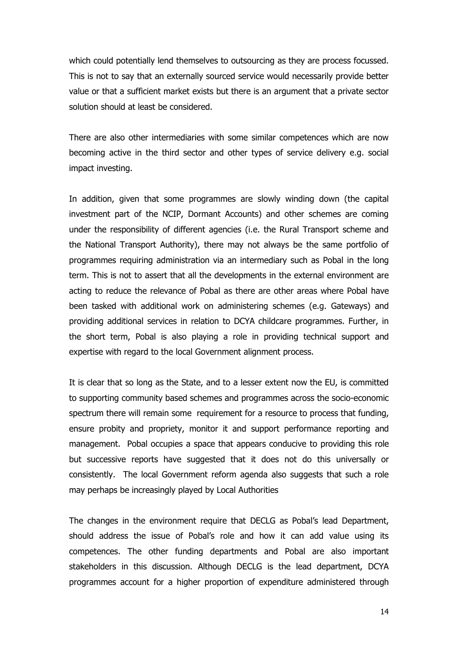which could potentially lend themselves to outsourcing as they are process focussed. This is not to say that an externally sourced service would necessarily provide better value or that a sufficient market exists but there is an argument that a private sector solution should at least be considered.

There are also other intermediaries with some similar competences which are now becoming active in the third sector and other types of service delivery e.g. social impact investing.

In addition, given that some programmes are slowly winding down (the capital investment part of the NCIP, Dormant Accounts) and other schemes are coming under the responsibility of different agencies (i.e. the Rural Transport scheme and the National Transport Authority), there may not always be the same portfolio of programmes requiring administration via an intermediary such as Pobal in the long term. This is not to assert that all the developments in the external environment are acting to reduce the relevance of Pobal as there are other areas where Pobal have been tasked with additional work on administering schemes (e.g. Gateways) and providing additional services in relation to DCYA childcare programmes. Further, in the short term, Pobal is also playing a role in providing technical support and expertise with regard to the local Government alignment process.

It is clear that so long as the State, and to a lesser extent now the EU, is committed to supporting community based schemes and programmes across the socio-economic spectrum there will remain some requirement for a resource to process that funding, ensure probity and propriety, monitor it and support performance reporting and management. Pobal occupies a space that appears conducive to providing this role but successive reports have suggested that it does not do this universally or consistently. The local Government reform agenda also suggests that such a role may perhaps be increasingly played by Local Authorities

The changes in the environment require that DECLG as Pobal's lead Department, should address the issue of Pobal's role and how it can add value using its competences. The other funding departments and Pobal are also important stakeholders in this discussion. Although DECLG is the lead department, DCYA programmes account for a higher proportion of expenditure administered through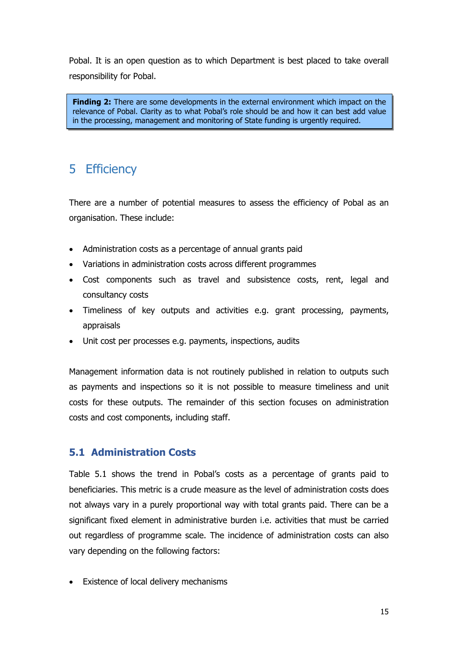Pobal. It is an open question as to which Department is best placed to take overall responsibility for Pobal.

**Finding 2:** There are some developments in the external environment which impact on the relevance of Pobal. Clarity as to what Pobal's role should be and how it can best add value in the processing, management and monitoring of State funding is urgently required.

# 5 Efficiency

There are a number of potential measures to assess the efficiency of Pobal as an organisation. These include:

- Administration costs as a percentage of annual grants paid
- Variations in administration costs across different programmes
- Cost components such as travel and subsistence costs, rent, legal and consultancy costs
- Timeliness of key outputs and activities e.g. grant processing, payments, appraisals
- Unit cost per processes e.g. payments, inspections, audits

Management information data is not routinely published in relation to outputs such as payments and inspections so it is not possible to measure timeliness and unit costs for these outputs. The remainder of this section focuses on administration costs and cost components, including staff.

### **5.1 Administration Costs**

Table 5.1 shows the trend in Pobal's costs as a percentage of grants paid to beneficiaries. This metric is a crude measure as the level of administration costs does not always vary in a purely proportional way with total grants paid. There can be a significant fixed element in administrative burden i.e. activities that must be carried out regardless of programme scale. The incidence of administration costs can also vary depending on the following factors:

• Existence of local delivery mechanisms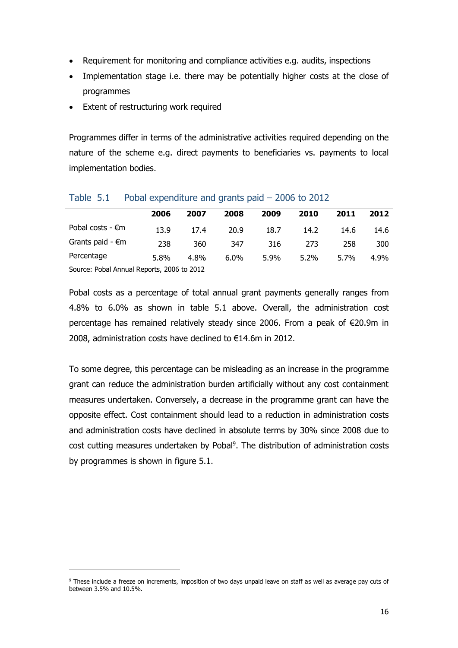- Requirement for monitoring and compliance activities e.g. audits, inspections
- Implementation stage i.e. there may be potentially higher costs at the close of programmes
- Extent of restructuring work required

Programmes differ in terms of the administrative activities required depending on the nature of the scheme e.g. direct payments to beneficiaries vs. payments to local implementation bodies.

|                            | 2006 | 2007 | 2008    | 2009 | 2010    | 2011 | 2012 |
|----------------------------|------|------|---------|------|---------|------|------|
| Pobal costs - $\epsilon$ m | 13.9 | 17.4 | 20.9    | 18.7 | 14.2    | 14.6 | 14.6 |
| Grants paid - $\epsilon$ m | 238  | 360  | 347     | 316  | 273     | 258  | 300  |
| Percentage                 | 5.8% | 4.8% | $6.0\%$ | 5.9% | $5.2\%$ | 5.7% | 4.9% |

#### Table 5.1 Pobal expenditure and grants paid – 2006 to 2012

Source: Pobal Annual Reports, 2006 to 2012

-

Pobal costs as a percentage of total annual grant payments generally ranges from 4.8% to 6.0% as shown in table 5.1 above. Overall, the administration cost percentage has remained relatively steady since 2006. From a peak of €20.9m in 2008, administration costs have declined to €14.6m in 2012.

To some degree, this percentage can be misleading as an increase in the programme grant can reduce the administration burden artificially without any cost containment measures undertaken. Conversely, a decrease in the programme grant can have the opposite effect. Cost containment should lead to a reduction in administration costs and administration costs have declined in absolute terms by 30% since 2008 due to cost cutting measures undertaken by Pobal<sup>9</sup>. The distribution of administration costs by programmes is shown in figure 5.1.

<sup>9</sup> These include a freeze on increments, imposition of two days unpaid leave on staff as well as average pay cuts of between 3.5% and 10.5%.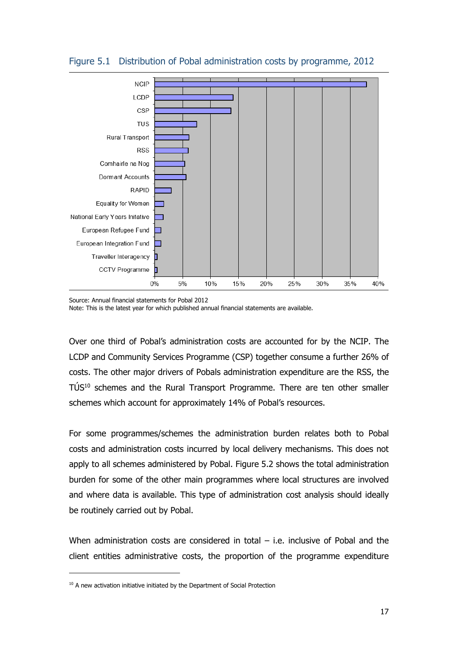

#### Figure 5.1 Distribution of Pobal administration costs by programme, 2012

Source: Annual financial statements for Pobal 2012

Note: This is the latest year for which published annual financial statements are available.

Over one third of Pobal's administration costs are accounted for by the NCIP. The LCDP and Community Services Programme (CSP) together consume a further 26% of costs. The other major drivers of Pobals administration expenditure are the RSS, the TÚS <sup>10</sup> schemes and the Rural Transport Programme. There are ten other smaller schemes which account for approximately 14% of Pobal's resources.

For some programmes/schemes the administration burden relates both to Pobal costs and administration costs incurred by local delivery mechanisms. This does not apply to all schemes administered by Pobal. Figure 5.2 shows the total administration burden for some of the other main programmes where local structures are involved and where data is available. This type of administration cost analysis should ideally be routinely carried out by Pobal.

When administration costs are considered in total  $-$  i.e. inclusive of Pobal and the client entities administrative costs, the proportion of the programme expenditure

<sup>&</sup>lt;sup>10</sup> A new activation initiative initiated by the Department of Social Protection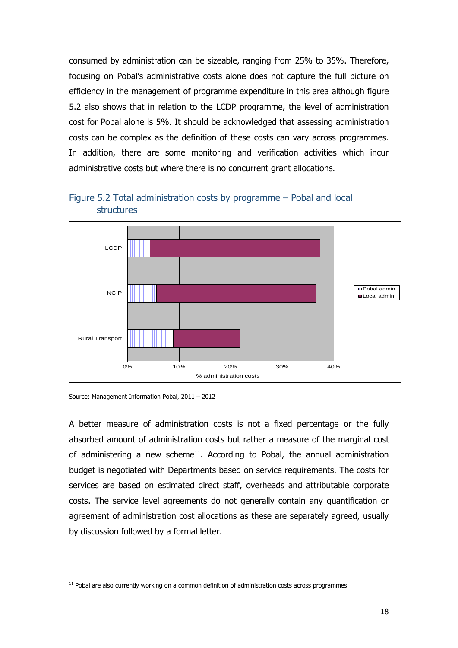consumed by administration can be sizeable, ranging from 25% to 35%. Therefore, focusing on Pobal's administrative costs alone does not capture the full picture on efficiency in the management of programme expenditure in this area although figure 5.2 also shows that in relation to the LCDP programme, the level of administration cost for Pobal alone is 5%. It should be acknowledged that assessing administration costs can be complex as the definition of these costs can vary across programmes. In addition, there are some monitoring and verification activities which incur administrative costs but where there is no concurrent grant allocations.



Figure 5.2 Total administration costs by programme – Pobal and local structures

-

A better measure of administration costs is not a fixed percentage or the fully absorbed amount of administration costs but rather a measure of the marginal cost of administering a new scheme<sup>11</sup>. According to Pobal, the annual administration budget is negotiated with Departments based on service requirements. The costs for services are based on estimated direct staff, overheads and attributable corporate costs. The service level agreements do not generally contain any quantification or agreement of administration cost allocations as these are separately agreed, usually by discussion followed by a formal letter.

Source: Management Information Pobal, 2011 – 2012

<sup>&</sup>lt;sup>11</sup> Pobal are also currently working on a common definition of administration costs across programmes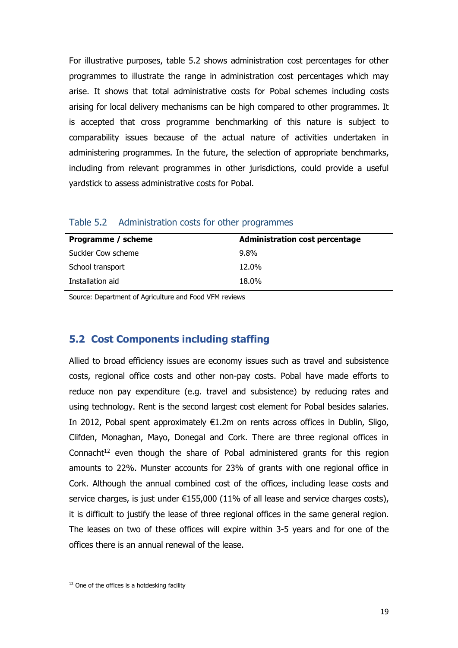For illustrative purposes, table 5.2 shows administration cost percentages for other programmes to illustrate the range in administration cost percentages which may arise. It shows that total administrative costs for Pobal schemes including costs arising for local delivery mechanisms can be high compared to other programmes. It is accepted that cross programme benchmarking of this nature is subject to comparability issues because of the actual nature of activities undertaken in administering programmes. In the future, the selection of appropriate benchmarks, including from relevant programmes in other jurisdictions, could provide a useful yardstick to assess administrative costs for Pobal.

| Programme / scheme | <b>Administration cost percentage</b> |
|--------------------|---------------------------------------|
| Suckler Cow scheme | $9.8\%$                               |
| School transport   | 12.0%                                 |
| Installation aid   | 18.0%                                 |

Table 5.2 Administration costs for other programmes

Source: Department of Agriculture and Food VFM reviews

### **5.2 Cost Components including staffing**

Allied to broad efficiency issues are economy issues such as travel and subsistence costs, regional office costs and other non-pay costs. Pobal have made efforts to reduce non pay expenditure (e.g. travel and subsistence) by reducing rates and using technology. Rent is the second largest cost element for Pobal besides salaries. In 2012, Pobal spent approximately €1.2m on rents across offices in Dublin, Sligo, Clifden, Monaghan, Mayo, Donegal and Cork. There are three regional offices in Connacht<sup>12</sup> even though the share of Pobal administered grants for this region amounts to 22%. Munster accounts for 23% of grants with one regional office in Cork. Although the annual combined cost of the offices, including lease costs and service charges, is just under  $E155,000$  (11% of all lease and service charges costs), it is difficult to justify the lease of three regional offices in the same general region. The leases on two of these offices will expire within 3-5 years and for one of the offices there is an annual renewal of the lease.

<sup>&</sup>lt;sup>12</sup> One of the offices is a hotdesking facility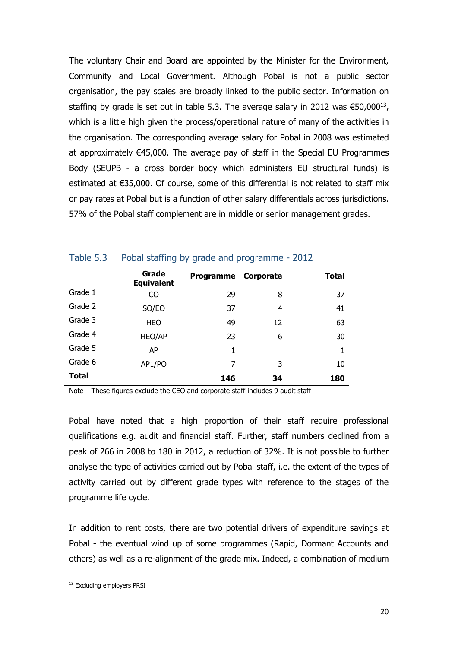The voluntary Chair and Board are appointed by the Minister for the Environment, Community and Local Government. Although Pobal is not a public sector organisation, the pay scales are broadly linked to the public sector. Information on staffing by grade is set out in table 5.3. The average salary in 2012 was  $\epsilon$ 50,000<sup>13</sup>, which is a little high given the process/operational nature of many of the activities in the organisation. The corresponding average salary for Pobal in 2008 was estimated at approximately €45,000. The average pay of staff in the Special EU Programmes Body (SEUPB - a cross border body which administers EU structural funds) is estimated at €35,000. Of course, some of this differential is not related to staff mix or pay rates at Pobal but is a function of other salary differentials across jurisdictions. 57% of the Pobal staff complement are in middle or senior management grades.

|              | Grade<br><b>Equivalent</b> | <b>Programme</b> | Corporate | <b>Total</b> |
|--------------|----------------------------|------------------|-----------|--------------|
| Grade 1      | CO                         | 29               | 8         | 37           |
| Grade 2      | SO/EO                      | 37               | 4         | 41           |
| Grade 3      | <b>HEO</b>                 | 49               | 12        | 63           |
| Grade 4      | HEO/AP                     | 23               | 6         | 30           |
| Grade 5      | AP                         | 1                |           | 1            |
| Grade 6      | AP1/PO                     | 7                | 3         | 10           |
| <b>Total</b> |                            | 146              | 34        | 180          |

#### Table 5.3 Pobal staffing by grade and programme - 2012

Note – These figures exclude the CEO and corporate staff includes 9 audit staff

Pobal have noted that a high proportion of their staff require professional qualifications e.g. audit and financial staff. Further, staff numbers declined from a peak of 266 in 2008 to 180 in 2012, a reduction of 32%. It is not possible to further analyse the type of activities carried out by Pobal staff, i.e. the extent of the types of activity carried out by different grade types with reference to the stages of the programme life cycle.

In addition to rent costs, there are two potential drivers of expenditure savings at Pobal - the eventual wind up of some programmes (Rapid, Dormant Accounts and others) as well as a re-alignment of the grade mix. Indeed, a combination of medium

<sup>&</sup>lt;sup>13</sup> Excluding employers PRSI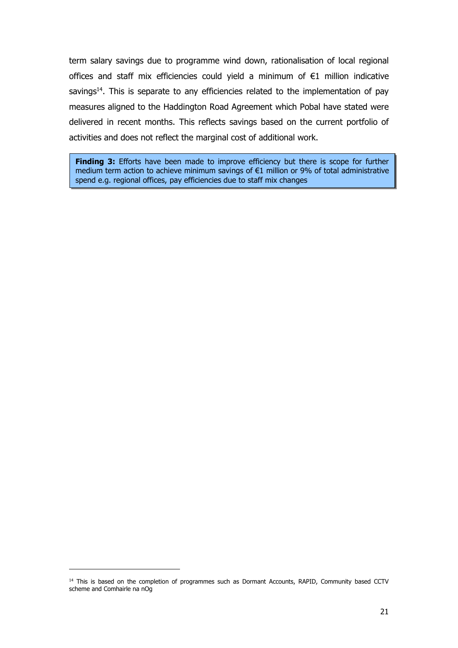term salary savings due to programme wind down, rationalisation of local regional offices and staff mix efficiencies could yield a minimum of €1 million indicative savings<sup>14</sup>. This is separate to any efficiencies related to the implementation of pay measures aligned to the Haddington Road Agreement which Pobal have stated were delivered in recent months. This reflects savings based on the current portfolio of activities and does not reflect the marginal cost of additional work.

**Finding 3:** Efforts have been made to improve efficiency but there is scope for further medium term action to achieve minimum savings of €1 million or 9% of total administrative spend e.g. regional offices, pay efficiencies due to staff mix changes

<sup>&</sup>lt;sup>14</sup> This is based on the completion of programmes such as Dormant Accounts, RAPID, Community based CCTV scheme and Comhairle na nOg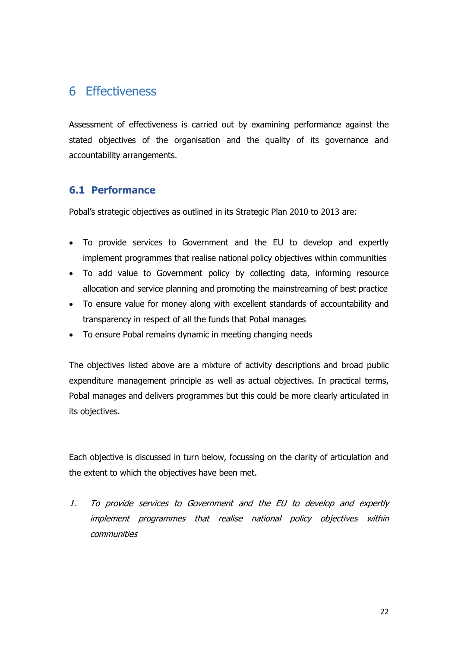# 6 Effectiveness

Assessment of effectiveness is carried out by examining performance against the stated objectives of the organisation and the quality of its governance and accountability arrangements.

### **6.1 Performance**

Pobal's strategic objectives as outlined in its Strategic Plan 2010 to 2013 are:

- To provide services to Government and the EU to develop and expertly implement programmes that realise national policy objectives within communities
- To add value to Government policy by collecting data, informing resource allocation and service planning and promoting the mainstreaming of best practice
- To ensure value for money along with excellent standards of accountability and transparency in respect of all the funds that Pobal manages
- To ensure Pobal remains dynamic in meeting changing needs

The objectives listed above are a mixture of activity descriptions and broad public expenditure management principle as well as actual objectives. In practical terms, Pobal manages and delivers programmes but this could be more clearly articulated in its objectives.

Each objective is discussed in turn below, focussing on the clarity of articulation and the extent to which the objectives have been met.

1. To provide services to Government and the EU to develop and expertly implement programmes that realise national policy objectives within communities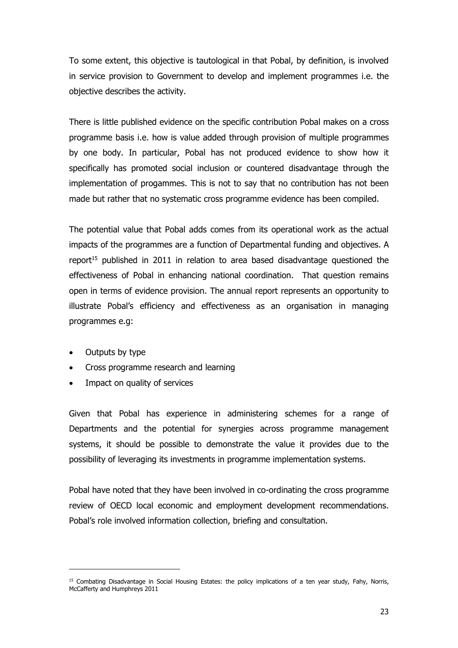To some extent, this objective is tautological in that Pobal, by definition, is involved in service provision to Government to develop and implement programmes i.e. the objective describes the activity.

There is little published evidence on the specific contribution Pobal makes on a cross programme basis i.e. how is value added through provision of multiple programmes by one body. In particular, Pobal has not produced evidence to show how it specifically has promoted social inclusion or countered disadvantage through the implementation of progammes. This is not to say that no contribution has not been made but rather that no systematic cross programme evidence has been compiled.

The potential value that Pobal adds comes from its operational work as the actual impacts of the programmes are a function of Departmental funding and objectives. A report<sup>15</sup> published in 2011 in relation to area based disadvantage questioned the effectiveness of Pobal in enhancing national coordination. That question remains open in terms of evidence provision. The annual report represents an opportunity to illustrate Pobal's efficiency and effectiveness as an organisation in managing programmes e.g:

Outputs by type

-

- Cross programme research and learning
- Impact on quality of services

Given that Pobal has experience in administering schemes for a range of Departments and the potential for synergies across programme management systems, it should be possible to demonstrate the value it provides due to the possibility of leveraging its investments in programme implementation systems.

Pobal have noted that they have been involved in co-ordinating the cross programme review of OECD local economic and employment development recommendations. Pobal's role involved information collection, briefing and consultation.

<sup>&</sup>lt;sup>15</sup> Combating Disadvantage in Social Housing Estates: the policy implications of a ten year study, Fahy, Norris, McCafferty and Humphreys 2011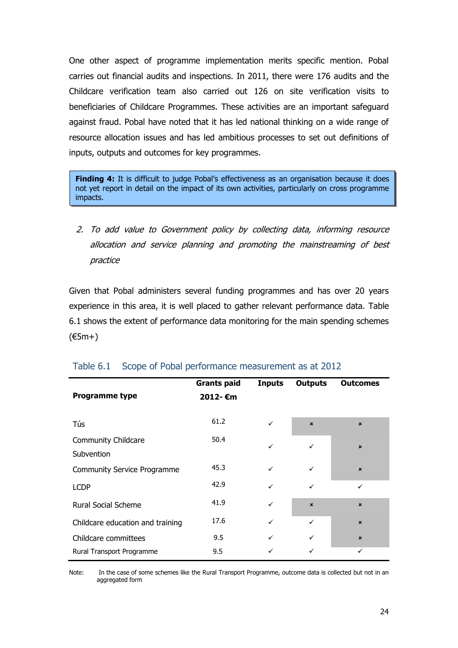One other aspect of programme implementation merits specific mention. Pobal carries out financial audits and inspections. In 2011, there were 176 audits and the Childcare verification team also carried out 126 on site verification visits to beneficiaries of Childcare Programmes. These activities are an important safeguard against fraud. Pobal have noted that it has led national thinking on a wide range of resource allocation issues and has led ambitious processes to set out definitions of inputs, outputs and outcomes for key programmes.

**Finding 4:** It is difficult to judge Pobal's effectiveness as an organisation because it does not yet report in detail on the impact of its own activities, particularly on cross programme impacts.

2. To add value to Government policy by collecting data, informing resource allocation and service planning and promoting the mainstreaming of best practice

Given that Pobal administers several funding programmes and has over 20 years experience in this area, it is well placed to gather relevant performance data. Table 6.1 shows the extent of performance data monitoring for the main spending schemes (€5m+)

| Programme type                     | <b>Grants paid</b><br>2012- €m | <b>Inputs</b> | <b>Outputs</b> | <b>Outcomes</b>           |
|------------------------------------|--------------------------------|---------------|----------------|---------------------------|
| Tús                                | 61.2                           | ✓             | $\mathbf{x}$   | $\mathbf{x}$              |
| Community Childcare<br>Subvention  | 50.4                           | $\checkmark$  | ✓              | $\mathbf{x}$              |
| <b>Community Service Programme</b> | 45.3                           | ✓             | $\checkmark$   | $\boldsymbol{\mathsf{x}}$ |
| <b>LCDP</b>                        | 42.9                           | ✓             | ✓              | ✓                         |
| <b>Rural Social Scheme</b>         | 41.9                           | ✓             | $\mathbf{x}$   | $\mathbf{x}$              |
| Childcare education and training   | 17.6                           | ✓             | ✓              | $\pmb{\times}$            |
| Childcare committees               | 9.5                            | ✓             | ✓              | $\pmb{\times}$            |
| Rural Transport Programme          | 9.5                            |               | ✓              | ✓                         |

### Table 6.1 Scope of Pobal performance measurement as at 2012

Note: In the case of some schemes like the Rural Transport Programme, outcome data is collected but not in an aggregated form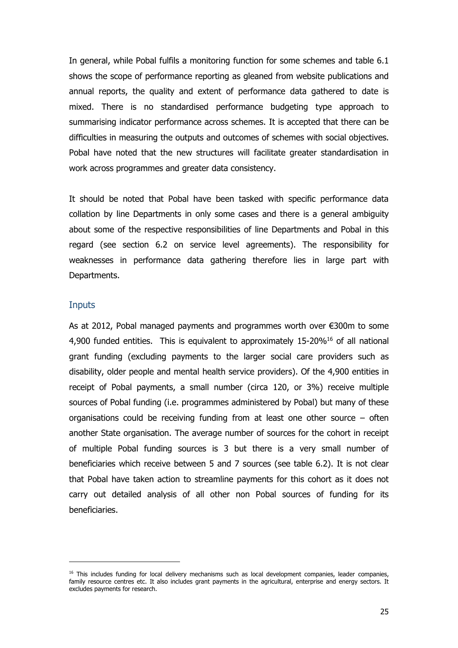In general, while Pobal fulfils a monitoring function for some schemes and table 6.1 shows the scope of performance reporting as gleaned from website publications and annual reports, the quality and extent of performance data gathered to date is mixed. There is no standardised performance budgeting type approach to summarising indicator performance across schemes. It is accepted that there can be difficulties in measuring the outputs and outcomes of schemes with social objectives. Pobal have noted that the new structures will facilitate greater standardisation in work across programmes and greater data consistency.

It should be noted that Pobal have been tasked with specific performance data collation by line Departments in only some cases and there is a general ambiguity about some of the respective responsibilities of line Departments and Pobal in this regard (see section 6.2 on service level agreements). The responsibility for weaknesses in performance data gathering therefore lies in large part with Departments.

#### **Inputs**

As at 2012, Pobal managed payments and programmes worth over €300m to some 4,900 funded entities. This is equivalent to approximately 15-20%<sup>16</sup> of all national grant funding (excluding payments to the larger social care providers such as disability, older people and mental health service providers). Of the 4,900 entities in receipt of Pobal payments, a small number (circa 120, or 3%) receive multiple sources of Pobal funding (i.e. programmes administered by Pobal) but many of these organisations could be receiving funding from at least one other source – often another State organisation. The average number of sources for the cohort in receipt of multiple Pobal funding sources is 3 but there is a very small number of beneficiaries which receive between 5 and 7 sources (see table 6.2). It is not clear that Pobal have taken action to streamline payments for this cohort as it does not carry out detailed analysis of all other non Pobal sources of funding for its beneficiaries.

<sup>&</sup>lt;sup>16</sup> This includes funding for local delivery mechanisms such as local development companies, leader companies, family resource centres etc. It also includes grant payments in the agricultural, enterprise and energy sectors. It excludes payments for research.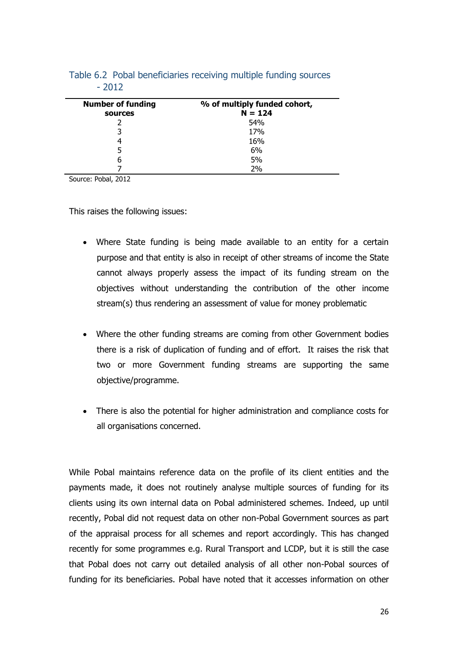| <b>Number of funding</b><br>sources | % of multiply funded cohort,<br>$N = 124$ |
|-------------------------------------|-------------------------------------------|
|                                     | 54%                                       |
| 3                                   | 17%                                       |
| 4                                   | 16%                                       |
| 5                                   | 6%                                        |
| b                                   | 5%                                        |
|                                     | 2%                                        |

Table 6.2 Pobal beneficiaries receiving multiple funding sources - 2012

Source: Pobal, 2012

This raises the following issues:

- Where State funding is being made available to an entity for a certain purpose and that entity is also in receipt of other streams of income the State cannot always properly assess the impact of its funding stream on the objectives without understanding the contribution of the other income stream(s) thus rendering an assessment of value for money problematic
- Where the other funding streams are coming from other Government bodies there is a risk of duplication of funding and of effort. It raises the risk that two or more Government funding streams are supporting the same objective/programme.
- There is also the potential for higher administration and compliance costs for all organisations concerned.

While Pobal maintains reference data on the profile of its client entities and the payments made, it does not routinely analyse multiple sources of funding for its clients using its own internal data on Pobal administered schemes. Indeed, up until recently, Pobal did not request data on other non-Pobal Government sources as part of the appraisal process for all schemes and report accordingly. This has changed recently for some programmes e.g. Rural Transport and LCDP, but it is still the case that Pobal does not carry out detailed analysis of all other non-Pobal sources of funding for its beneficiaries. Pobal have noted that it accesses information on other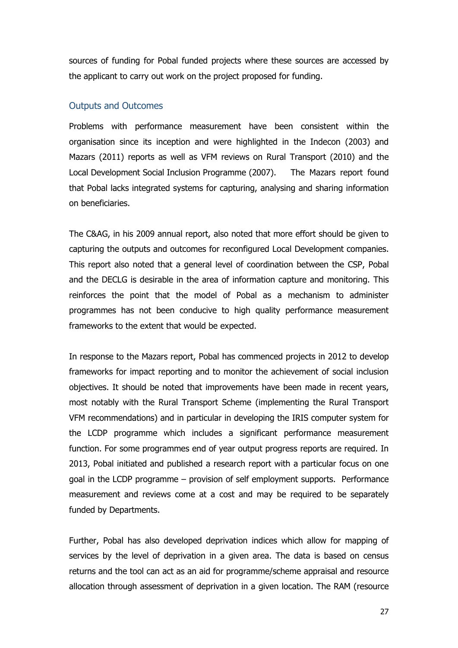sources of funding for Pobal funded projects where these sources are accessed by the applicant to carry out work on the project proposed for funding.

#### Outputs and Outcomes

Problems with performance measurement have been consistent within the organisation since its inception and were highlighted in the Indecon (2003) and Mazars (2011) reports as well as VFM reviews on Rural Transport (2010) and the Local Development Social Inclusion Programme (2007). The Mazars report found that Pobal lacks integrated systems for capturing, analysing and sharing information on beneficiaries.

The C&AG, in his 2009 annual report, also noted that more effort should be given to capturing the outputs and outcomes for reconfigured Local Development companies. This report also noted that a general level of coordination between the CSP, Pobal and the DECLG is desirable in the area of information capture and monitoring. This reinforces the point that the model of Pobal as a mechanism to administer programmes has not been conducive to high quality performance measurement frameworks to the extent that would be expected.

In response to the Mazars report, Pobal has commenced projects in 2012 to develop frameworks for impact reporting and to monitor the achievement of social inclusion objectives. It should be noted that improvements have been made in recent years, most notably with the Rural Transport Scheme (implementing the Rural Transport VFM recommendations) and in particular in developing the IRIS computer system for the LCDP programme which includes a significant performance measurement function. For some programmes end of year output progress reports are required. In 2013, Pobal initiated and published a research report with a particular focus on one goal in the LCDP programme – provision of self employment supports. Performance measurement and reviews come at a cost and may be required to be separately funded by Departments.

Further, Pobal has also developed deprivation indices which allow for mapping of services by the level of deprivation in a given area. The data is based on census returns and the tool can act as an aid for programme/scheme appraisal and resource allocation through assessment of deprivation in a given location. The RAM (resource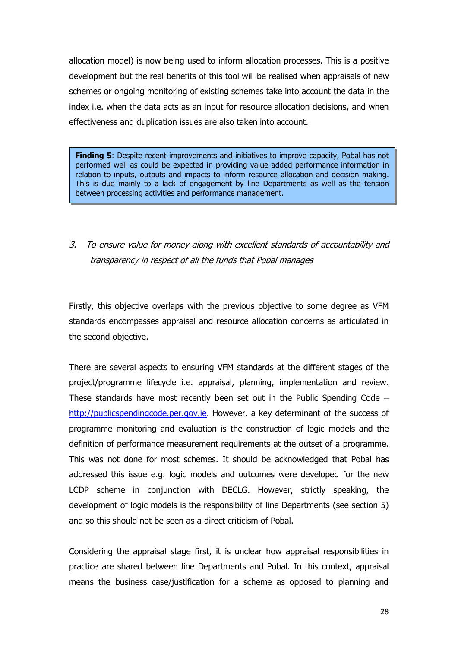allocation model) is now being used to inform allocation processes. This is a positive development but the real benefits of this tool will be realised when appraisals of new schemes or ongoing monitoring of existing schemes take into account the data in the index i.e. when the data acts as an input for resource allocation decisions, and when effectiveness and duplication issues are also taken into account.

3. To ensure value for money along with excellent standards of accountability and accountability and accountability and accountability and accountability and accountability and accountability and accountability and account **Finding 5**: Despite recent improvements and initiatives to improve capacity, Pobal has not performed well as could be expected in providing value added performance information in relation to inputs, outputs and impacts to inform resource allocation and decision making. This is due mainly to a lack of engagement by line Departments as well as the tension between processing activities and performance management.

3. To ensure value for money along with excellent standards of accountability and transparency in respect of all the funds that Pobal manages

Firstly, this objective overlaps with the previous objective to some degree as VFM standards encompasses appraisal and resource allocation concerns as articulated in the second objective.

There are several aspects to ensuring VFM standards at the different stages of the project/programme lifecycle i.e. appraisal, planning, implementation and review. These standards have most recently been set out in the Public Spending Code – [http://publicspendingcode.per.gov.ie.](http://publicspendingcode.per.gov.ie/) However, a key determinant of the success of programme monitoring and evaluation is the construction of logic models and the definition of performance measurement requirements at the outset of a programme. This was not done for most schemes. It should be acknowledged that Pobal has addressed this issue e.g. logic models and outcomes were developed for the new LCDP scheme in conjunction with DECLG. However, strictly speaking, the development of logic models is the responsibility of line Departments (see section 5) and so this should not be seen as a direct criticism of Pobal.

Considering the appraisal stage first, it is unclear how appraisal responsibilities in practice are shared between line Departments and Pobal. In this context, appraisal means the business case/justification for a scheme as opposed to planning and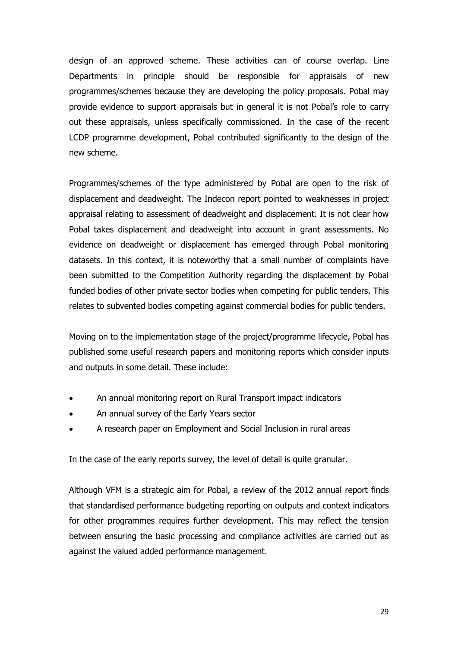design of an approved scheme. These activities can of course overlap. Line Departments in principle should be responsible for appraisals of new programmes/schemes because they are developing the policy proposals. Pobal may provide evidence to support appraisals but in general it is not Pobal's role to carry out these appraisals, unless specifically commissioned. In the case of the recent LCDP programme development, Pobal contributed significantly to the design of the new scheme.

Programmes/schemes of the type administered by Pobal are open to the risk of displacement and deadweight. The Indecon report pointed to weaknesses in project appraisal relating to assessment of deadweight and displacement. It is not clear how Pobal takes displacement and deadweight into account in grant assessments. No evidence on deadweight or displacement has emerged through Pobal monitoring datasets. In this context, it is noteworthy that a small number of complaints have been submitted to the Competition Authority regarding the displacement by Pobal funded bodies of other private sector bodies when competing for public tenders. This relates to subvented bodies competing against commercial bodies for public tenders.

Moving on to the implementation stage of the project/programme lifecycle, Pobal has published some useful research papers and monitoring reports which consider inputs and outputs in some detail. These include:

- An annual monitoring report on Rural Transport impact indicators
- An annual survey of the Early Years sector
- A research paper on Employment and Social Inclusion in rural areas

In the case of the early reports survey, the level of detail is quite granular.

Although VFM is a strategic aim for Pobal, a review of the 2012 annual report finds that standardised performance budgeting reporting on outputs and context indicators for other programmes requires further development. This may reflect the tension between ensuring the basic processing and compliance activities are carried out as against the valued added performance management.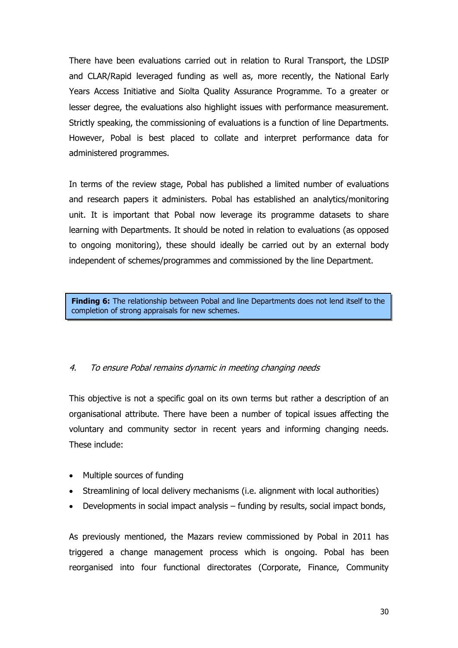There have been evaluations carried out in relation to Rural Transport, the LDSIP and CLAR/Rapid leveraged funding as well as, more recently, the National Early Years Access Initiative and Síolta Quality Assurance Programme. To a greater or lesser degree, the evaluations also highlight issues with performance measurement. Strictly speaking, the commissioning of evaluations is a function of line Departments. However, Pobal is best placed to collate and interpret performance data for administered programmes.

In terms of the review stage, Pobal has published a limited number of evaluations and research papers it administers. Pobal has established an analytics/monitoring unit. It is important that Pobal now leverage its programme datasets to share learning with Departments. It should be noted in relation to evaluations (as opposed to ongoing monitoring), these should ideally be carried out by an external body independent of schemes/programmes and commissioned by the line Department.

**Finding 6:** The relationship between Pobal and line Departments does not lend itself to the completion of strong appraisals for new schemes.

#### 4. To ensure Pobal remains dynamic in meeting changing needs

This objective is not a specific goal on its own terms but rather a description of an organisational attribute. There have been a number of topical issues affecting the voluntary and community sector in recent years and informing changing needs. These include:

- Multiple sources of funding
- Streamlining of local delivery mechanisms (i.e. alignment with local authorities)
- Developments in social impact analysis funding by results, social impact bonds,

As previously mentioned, the Mazars review commissioned by Pobal in 2011 has triggered a change management process which is ongoing. Pobal has been reorganised into four functional directorates (Corporate, Finance, Community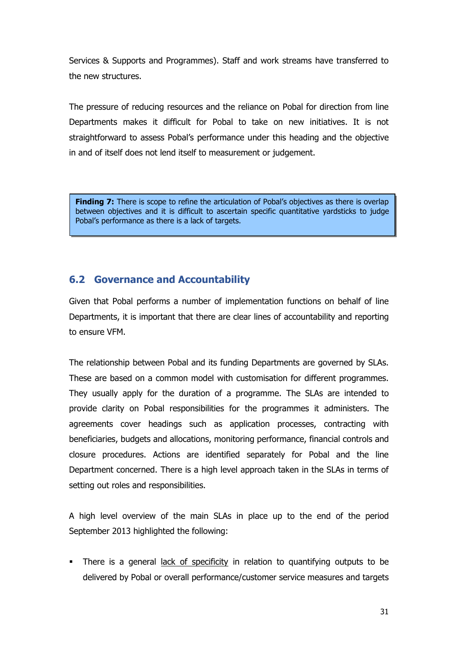Services & Supports and Programmes). Staff and work streams have transferred to the new structures.

The pressure of reducing resources and the reliance on Pobal for direction from line Departments makes it difficult for Pobal to take on new initiatives. It is not straightforward to assess Pobal's performance under this heading and the objective in and of itself does not lend itself to measurement or judgement.

**Finding 7:** There is scope to refine the articulation of Pobal's objectives as there is overlap between objectives and it is difficult to ascertain specific quantitative yardsticks to judge Pobal's performance as there is a lack of targets.

### **6.2 Governance and Accountability**

Given that Pobal performs a number of implementation functions on behalf of line Departments, it is important that there are clear lines of accountability and reporting to ensure VFM.

The relationship between Pobal and its funding Departments are governed by SLAs. These are based on a common model with customisation for different programmes. They usually apply for the duration of a programme. The SLAs are intended to provide clarity on Pobal responsibilities for the programmes it administers. The agreements cover headings such as application processes, contracting with beneficiaries, budgets and allocations, monitoring performance, financial controls and closure procedures. Actions are identified separately for Pobal and the line Department concerned. There is a high level approach taken in the SLAs in terms of setting out roles and responsibilities.

A high level overview of the main SLAs in place up to the end of the period September 2013 highlighted the following:

 There is a general lack of specificity in relation to quantifying outputs to be delivered by Pobal or overall performance/customer service measures and targets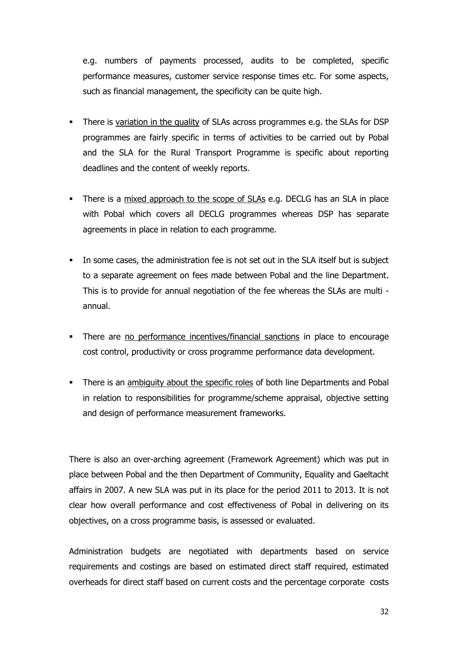e.g. numbers of payments processed, audits to be completed, specific performance measures, customer service response times etc. For some aspects, such as financial management, the specificity can be quite high.

- There is variation in the quality of SLAs across programmes e.g. the SLAs for DSP programmes are fairly specific in terms of activities to be carried out by Pobal and the SLA for the Rural Transport Programme is specific about reporting deadlines and the content of weekly reports.
- There is a mixed approach to the scope of SLAs e.g. DECLG has an SLA in place with Pobal which covers all DECLG programmes whereas DSP has separate agreements in place in relation to each programme.
- In some cases, the administration fee is not set out in the SLA itself but is subject to a separate agreement on fees made between Pobal and the line Department. This is to provide for annual negotiation of the fee whereas the SLAs are multi annual.
- There are no performance incentives/financial sanctions in place to encourage cost control, productivity or cross programme performance data development.
- There is an ambiguity about the specific roles of both line Departments and Pobal in relation to responsibilities for programme/scheme appraisal, objective setting and design of performance measurement frameworks.

There is also an over-arching agreement (Framework Agreement) which was put in place between Pobal and the then Department of Community, Equality and Gaeltacht affairs in 2007. A new SLA was put in its place for the period 2011 to 2013. It is not clear how overall performance and cost effectiveness of Pobal in delivering on its objectives, on a cross programme basis, is assessed or evaluated.

Administration budgets are negotiated with departments based on service requirements and costings are based on estimated direct staff required, estimated overheads for direct staff based on current costs and the percentage corporate costs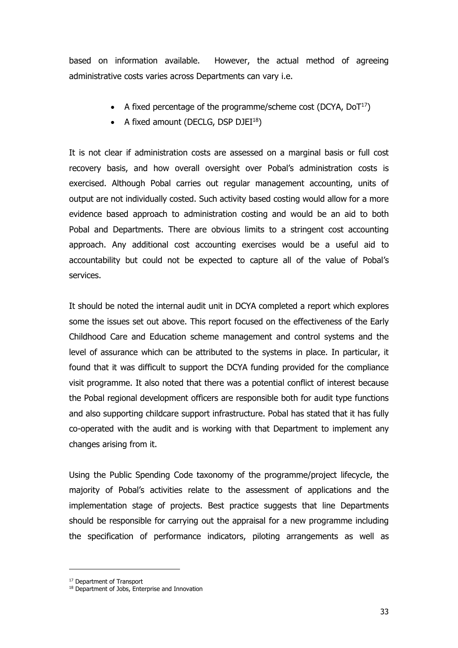based on information available. However, the actual method of agreeing administrative costs varies across Departments can vary i.e.

- A fixed percentage of the programme/scheme cost (DCYA,  $DoT<sup>17</sup>$ )
- A fixed amount (DECLG, DSP DJEI $^{18}$ )

It is not clear if administration costs are assessed on a marginal basis or full cost recovery basis, and how overall oversight over Pobal's administration costs is exercised. Although Pobal carries out regular management accounting, units of output are not individually costed. Such activity based costing would allow for a more evidence based approach to administration costing and would be an aid to both Pobal and Departments. There are obvious limits to a stringent cost accounting approach. Any additional cost accounting exercises would be a useful aid to accountability but could not be expected to capture all of the value of Pobal's services.

It should be noted the internal audit unit in DCYA completed a report which explores some the issues set out above. This report focused on the effectiveness of the Early Childhood Care and Education scheme management and control systems and the level of assurance which can be attributed to the systems in place. In particular, it found that it was difficult to support the DCYA funding provided for the compliance visit programme. It also noted that there was a potential conflict of interest because the Pobal regional development officers are responsible both for audit type functions and also supporting childcare support infrastructure. Pobal has stated that it has fully co-operated with the audit and is working with that Department to implement any changes arising from it.

Using the Public Spending Code taxonomy of the programme/project lifecycle, the majority of Pobal's activities relate to the assessment of applications and the implementation stage of projects. Best practice suggests that line Departments should be responsible for carrying out the appraisal for a new programme including the specification of performance indicators, piloting arrangements as well as

<sup>&</sup>lt;sup>17</sup> Department of Transport

<sup>&</sup>lt;sup>18</sup> Department of Jobs, Enterprise and Innovation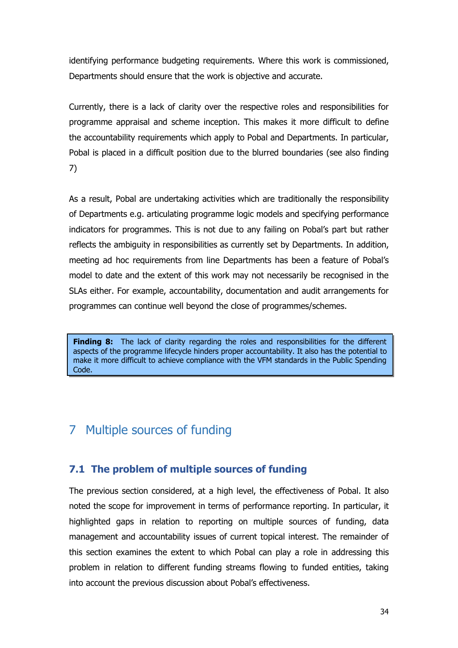identifying performance budgeting requirements. Where this work is commissioned, Departments should ensure that the work is objective and accurate.

Currently, there is a lack of clarity over the respective roles and responsibilities for programme appraisal and scheme inception. This makes it more difficult to define the accountability requirements which apply to Pobal and Departments. In particular, Pobal is placed in a difficult position due to the blurred boundaries (see also finding 7)

As a result, Pobal are undertaking activities which are traditionally the responsibility of Departments e.g. articulating programme logic models and specifying performance indicators for programmes. This is not due to any failing on Pobal's part but rather reflects the ambiguity in responsibilities as currently set by Departments. In addition, meeting ad hoc requirements from line Departments has been a feature of Pobal's model to date and the extent of this work may not necessarily be recognised in the SLAs either. For example, accountability, documentation and audit arrangements for programmes can continue well beyond the close of programmes/schemes.

**Finding 8:** The lack of clarity regarding the roles and responsibilities for the different aspects of the programme lifecycle hinders proper accountability. It also has the potential to make it more difficult to achieve compliance with the VFM standards in the Public Spending Code.

# 7 Multiple sources of funding

### **7.1 The problem of multiple sources of funding**

The previous section considered, at a high level, the effectiveness of Pobal. It also noted the scope for improvement in terms of performance reporting. In particular, it highlighted gaps in relation to reporting on multiple sources of funding, data management and accountability issues of current topical interest. The remainder of this section examines the extent to which Pobal can play a role in addressing this problem in relation to different funding streams flowing to funded entities, taking into account the previous discussion about Pobal's effectiveness.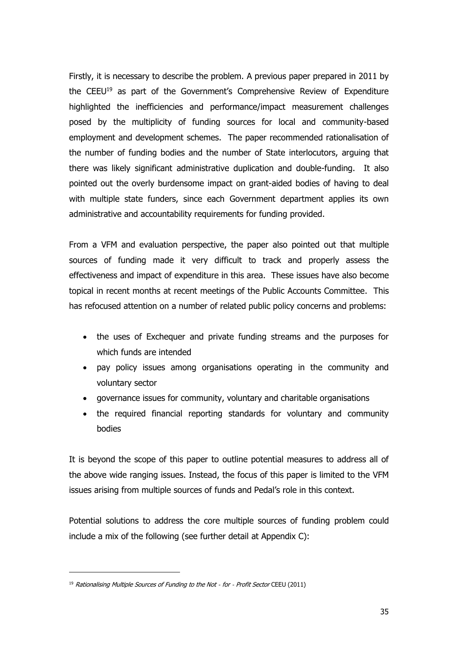Firstly, it is necessary to describe the problem. A previous paper prepared in 2011 by the CEEU<sup>19</sup> as part of the Government's Comprehensive Review of Expenditure highlighted the inefficiencies and performance/impact measurement challenges posed by the multiplicity of funding sources for local and community-based employment and development schemes. The paper recommended rationalisation of the number of funding bodies and the number of State interlocutors, arguing that there was likely significant administrative duplication and double-funding. It also pointed out the overly burdensome impact on grant-aided bodies of having to deal with multiple state funders, since each Government department applies its own administrative and accountability requirements for funding provided.

From a VFM and evaluation perspective, the paper also pointed out that multiple sources of funding made it very difficult to track and properly assess the effectiveness and impact of expenditure in this area. These issues have also become topical in recent months at recent meetings of the Public Accounts Committee. This has refocused attention on a number of related public policy concerns and problems:

- the uses of Exchequer and private funding streams and the purposes for which funds are intended
- pay policy issues among organisations operating in the community and voluntary sector
- governance issues for community, voluntary and charitable organisations
- the required financial reporting standards for voluntary and community bodies

It is beyond the scope of this paper to outline potential measures to address all of the above wide ranging issues. Instead, the focus of this paper is limited to the VFM issues arising from multiple sources of funds and Pedal's role in this context.

Potential solutions to address the core multiple sources of funding problem could include a mix of the following (see further detail at Appendix C):

<sup>&</sup>lt;sup>19</sup> Rationalising Multiple Sources of Funding to the Not - for - Profit Sector CEEU (2011)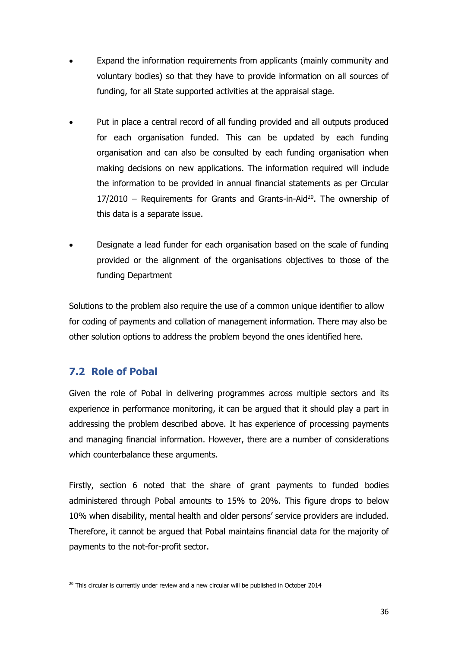- Expand the information requirements from applicants (mainly community and voluntary bodies) so that they have to provide information on all sources of funding, for all State supported activities at the appraisal stage.
- Put in place a central record of all funding provided and all outputs produced for each organisation funded. This can be updated by each funding organisation and can also be consulted by each funding organisation when making decisions on new applications. The information required will include the information to be provided in annual financial statements as per Circular  $17/2010$  – Requirements for Grants and Grants-in-Aid<sup>20</sup>. The ownership of this data is a separate issue.
- Designate a lead funder for each organisation based on the scale of funding provided or the alignment of the organisations objectives to those of the funding Department

Solutions to the problem also require the use of a common unique identifier to allow for coding of payments and collation of management information. There may also be other solution options to address the problem beyond the ones identified here.

### **7.2 Role of Pobal**

-

Given the role of Pobal in delivering programmes across multiple sectors and its experience in performance monitoring, it can be argued that it should play a part in addressing the problem described above. It has experience of processing payments and managing financial information. However, there are a number of considerations which counterbalance these arguments.

Firstly, section 6 noted that the share of grant payments to funded bodies administered through Pobal amounts to 15% to 20%. This figure drops to below 10% when disability, mental health and older persons' service providers are included. Therefore, it cannot be argued that Pobal maintains financial data for the majority of payments to the not-for-profit sector.

 $20$  This circular is currently under review and a new circular will be published in October 2014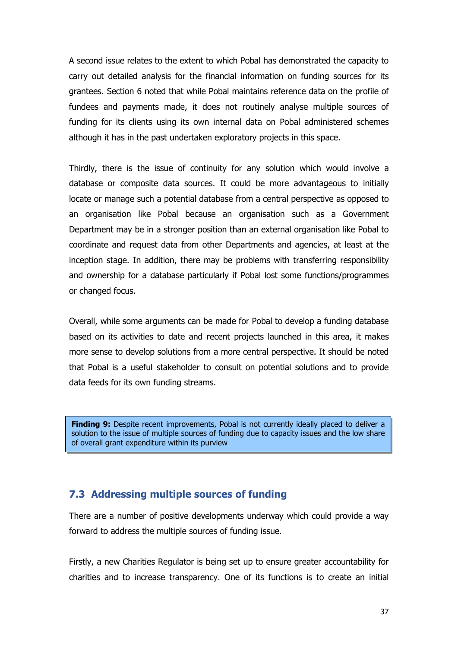A second issue relates to the extent to which Pobal has demonstrated the capacity to carry out detailed analysis for the financial information on funding sources for its grantees. Section 6 noted that while Pobal maintains reference data on the profile of fundees and payments made, it does not routinely analyse multiple sources of funding for its clients using its own internal data on Pobal administered schemes although it has in the past undertaken exploratory projects in this space.

Thirdly, there is the issue of continuity for any solution which would involve a database or composite data sources. It could be more advantageous to initially locate or manage such a potential database from a central perspective as opposed to an organisation like Pobal because an organisation such as a Government Department may be in a stronger position than an external organisation like Pobal to coordinate and request data from other Departments and agencies, at least at the inception stage. In addition, there may be problems with transferring responsibility and ownership for a database particularly if Pobal lost some functions/programmes or changed focus.

Overall, while some arguments can be made for Pobal to develop a funding database based on its activities to date and recent projects launched in this area, it makes more sense to develop solutions from a more central perspective. It should be noted that Pobal is a useful stakeholder to consult on potential solutions and to provide data feeds for its own funding streams.

Finding 9: Despite recent improvements, Pobal is not currently ideally placed to deliver a solution to the issue of multiple sources of funding due to capacity issues and the low share of overall grant expenditure within its purview

### **7.3 Addressing multiple sources of funding**

There are a number of positive developments underway which could provide a way forward to address the multiple sources of funding issue.

Firstly, a new Charities Regulator is being set up to ensure greater accountability for charities and to increase transparency. One of its functions is to create an initial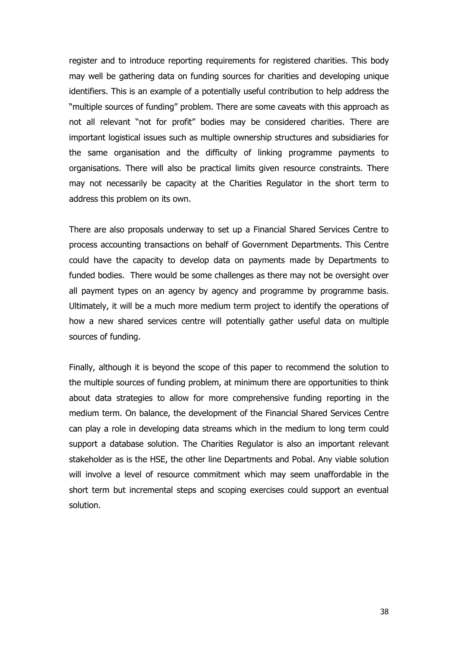register and to introduce reporting requirements for registered charities. This body may well be gathering data on funding sources for charities and developing unique identifiers. This is an example of a potentially useful contribution to help address the "multiple sources of funding" problem. There are some caveats with this approach as not all relevant "not for profit" bodies may be considered charities. There are important logistical issues such as multiple ownership structures and subsidiaries for the same organisation and the difficulty of linking programme payments to organisations. There will also be practical limits given resource constraints. There may not necessarily be capacity at the Charities Regulator in the short term to address this problem on its own.

There are also proposals underway to set up a Financial Shared Services Centre to process accounting transactions on behalf of Government Departments. This Centre could have the capacity to develop data on payments made by Departments to funded bodies. There would be some challenges as there may not be oversight over all payment types on an agency by agency and programme by programme basis. Ultimately, it will be a much more medium term project to identify the operations of how a new shared services centre will potentially gather useful data on multiple sources of funding.

Finally, although it is beyond the scope of this paper to recommend the solution to the multiple sources of funding problem, at minimum there are opportunities to think about data strategies to allow for more comprehensive funding reporting in the medium term. On balance, the development of the Financial Shared Services Centre can play a role in developing data streams which in the medium to long term could support a database solution. The Charities Regulator is also an important relevant stakeholder as is the HSE, the other line Departments and Pobal. Any viable solution will involve a level of resource commitment which may seem unaffordable in the short term but incremental steps and scoping exercises could support an eventual solution.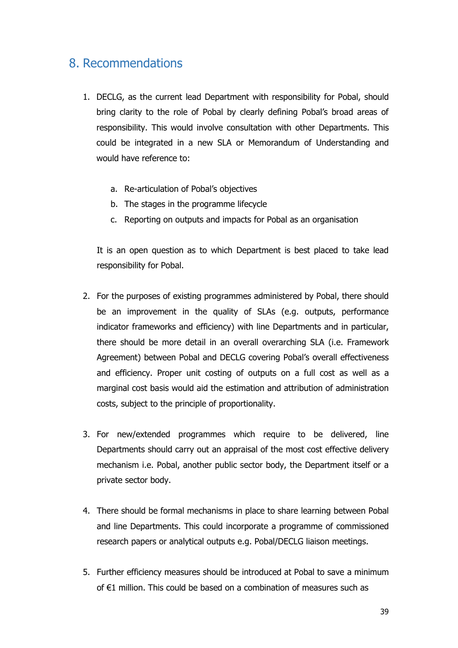# 8. Recommendations

- 1. DECLG, as the current lead Department with responsibility for Pobal, should bring clarity to the role of Pobal by clearly defining Pobal's broad areas of responsibility. This would involve consultation with other Departments. This could be integrated in a new SLA or Memorandum of Understanding and would have reference to:
	- a. Re-articulation of Pobal's objectives
	- b. The stages in the programme lifecycle
	- c. Reporting on outputs and impacts for Pobal as an organisation

It is an open question as to which Department is best placed to take lead responsibility for Pobal.

- 2. For the purposes of existing programmes administered by Pobal, there should be an improvement in the quality of SLAs (e.g. outputs, performance indicator frameworks and efficiency) with line Departments and in particular, there should be more detail in an overall overarching SLA (i.e. Framework Agreement) between Pobal and DECLG covering Pobal's overall effectiveness and efficiency. Proper unit costing of outputs on a full cost as well as a marginal cost basis would aid the estimation and attribution of administration costs, subject to the principle of proportionality.
- 3. For new/extended programmes which require to be delivered, line Departments should carry out an appraisal of the most cost effective delivery mechanism i.e. Pobal, another public sector body, the Department itself or a private sector body.
- 4. There should be formal mechanisms in place to share learning between Pobal and line Departments. This could incorporate a programme of commissioned research papers or analytical outputs e.g. Pobal/DECLG liaison meetings.
- 5. Further efficiency measures should be introduced at Pobal to save a minimum of €1 million. This could be based on a combination of measures such as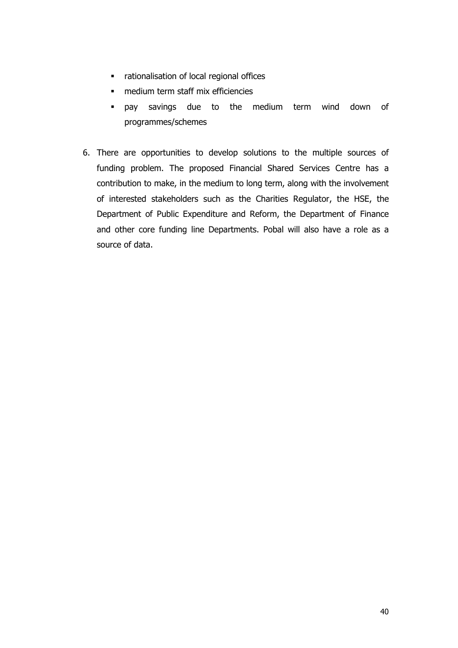- rationalisation of local regional offices
- medium term staff mix efficiencies
- pay savings due to the medium term wind down of programmes/schemes
- 6. There are opportunities to develop solutions to the multiple sources of funding problem. The proposed Financial Shared Services Centre has a contribution to make, in the medium to long term, along with the involvement of interested stakeholders such as the Charities Regulator, the HSE, the Department of Public Expenditure and Reform, the Department of Finance and other core funding line Departments. Pobal will also have a role as a source of data.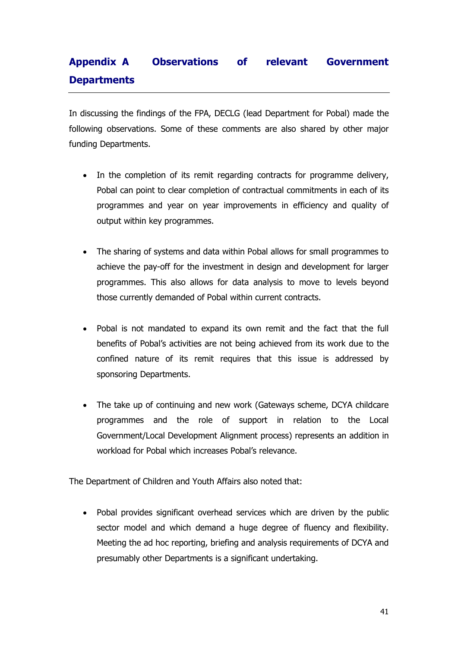# **Appendix A Observations of relevant Government Departments**

In discussing the findings of the FPA, DECLG (lead Department for Pobal) made the following observations. Some of these comments are also shared by other major funding Departments.

- In the completion of its remit regarding contracts for programme delivery, Pobal can point to clear completion of contractual commitments in each of its programmes and year on year improvements in efficiency and quality of output within key programmes.
- The sharing of systems and data within Pobal allows for small programmes to achieve the pay-off for the investment in design and development for larger programmes. This also allows for data analysis to move to levels beyond those currently demanded of Pobal within current contracts.
- Pobal is not mandated to expand its own remit and the fact that the full benefits of Pobal's activities are not being achieved from its work due to the confined nature of its remit requires that this issue is addressed by sponsoring Departments.
- The take up of continuing and new work (Gateways scheme, DCYA childcare programmes and the role of support in relation to the Local Government/Local Development Alignment process) represents an addition in workload for Pobal which increases Pobal's relevance.

The Department of Children and Youth Affairs also noted that:

 Pobal provides significant overhead services which are driven by the public sector model and which demand a huge degree of fluency and flexibility. Meeting the ad hoc reporting, briefing and analysis requirements of DCYA and presumably other Departments is a significant undertaking.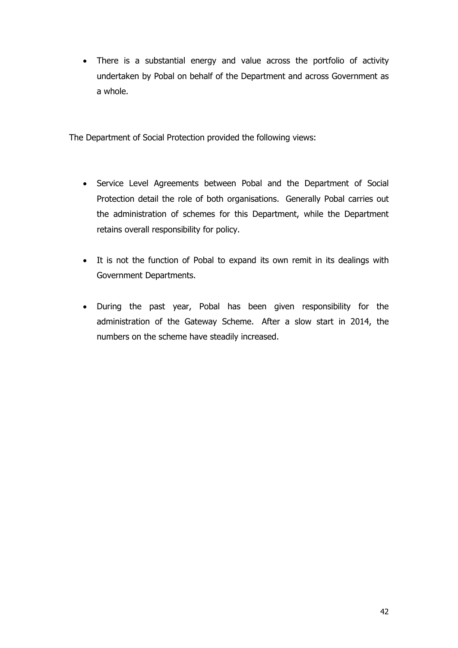There is a substantial energy and value across the portfolio of activity undertaken by Pobal on behalf of the Department and across Government as a whole.

The Department of Social Protection provided the following views:

- Service Level Agreements between Pobal and the Department of Social Protection detail the role of both organisations. Generally Pobal carries out the administration of schemes for this Department, while the Department retains overall responsibility for policy.
- It is not the function of Pobal to expand its own remit in its dealings with Government Departments.
- During the past year, Pobal has been given responsibility for the administration of the Gateway Scheme. After a slow start in 2014, the numbers on the scheme have steadily increased.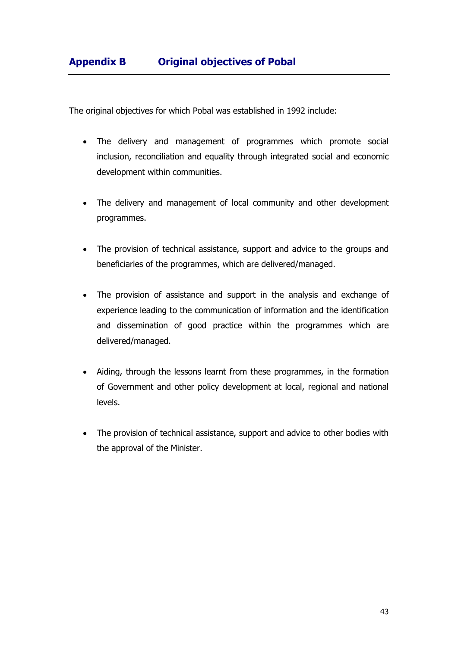The original objectives for which Pobal was established in 1992 include:

- The delivery and management of programmes which promote social inclusion, reconciliation and equality through integrated social and economic development within communities.
- The delivery and management of local community and other development programmes.
- The provision of technical assistance, support and advice to the groups and beneficiaries of the programmes, which are delivered/managed.
- The provision of assistance and support in the analysis and exchange of experience leading to the communication of information and the identification and dissemination of good practice within the programmes which are delivered/managed.
- Aiding, through the lessons learnt from these programmes, in the formation of Government and other policy development at local, regional and national levels.
- The provision of technical assistance, support and advice to other bodies with the approval of the Minister.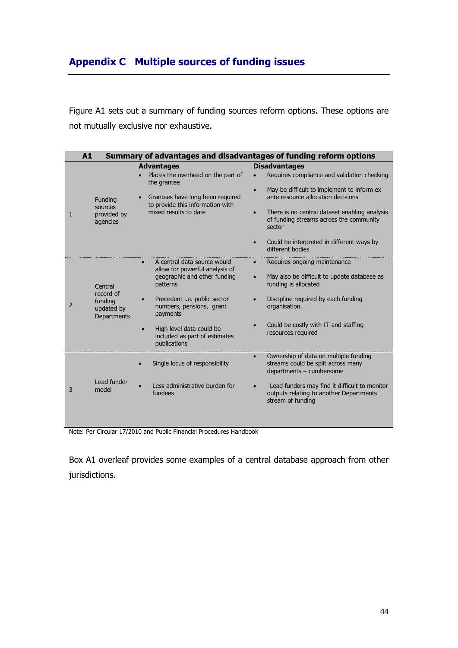## **Appendix C Multiple sources of funding issues**

Figure A1 sets out a summary of funding sources reform options. These options are not mutually exclusive nor exhaustive.

|              | A1                                          |                                                                           | Summary of advantages and disadvantages of funding reform options                                                    |
|--------------|---------------------------------------------|---------------------------------------------------------------------------|----------------------------------------------------------------------------------------------------------------------|
|              |                                             | <b>Advantages</b>                                                         | <b>Disadvantages</b>                                                                                                 |
| $\mathbf{1}$ |                                             | Places the overhead on the part of<br>the grantee                         | Requires compliance and validation checking                                                                          |
|              | Funding                                     | Grantees have long been required<br>to provide this information with      | May be difficult to implement to inform ex<br>$\bullet$<br>ante resource allocation decisions                        |
|              | sources<br>provided by<br>agencies          | mixed results to date                                                     | There is no central dataset enabling analysis<br>$\bullet$<br>of funding streams across the community<br>sector      |
|              |                                             |                                                                           | Could be interpreted in different ways by<br>different hodies                                                        |
| 2            |                                             | A central data source would<br>allow for powerful analysis of             | Requires ongoing maintenance                                                                                         |
|              | Central<br>record of                        | geographic and other funding<br>patterns                                  | May also be difficult to update database as<br>funding is allocated                                                  |
|              | funding<br>updated by<br><b>Departments</b> | Precedent i.e. public sector<br>numbers, pensions, grant<br>payments      | Discipline required by each funding<br>organisation.                                                                 |
|              |                                             | High level data could be<br>included as part of estimates<br>publications | Could be costly with IT and staffing<br>resources required                                                           |
| 3            |                                             | Single locus of responsibility                                            | Ownership of data on multiple funding<br>$\bullet$<br>streams could be split across many<br>departments - cumbersome |
|              | Lead funder<br>model                        | Less administrative burden for<br>fundees                                 | Lead funders may find it difficult to monitor<br>outputs relating to another Departments<br>stream of funding        |

Note: Per Circular 17/2010 and Public Financial Procedures Handbook

Box A1 overleaf provides some examples of a central database approach from other jurisdictions.